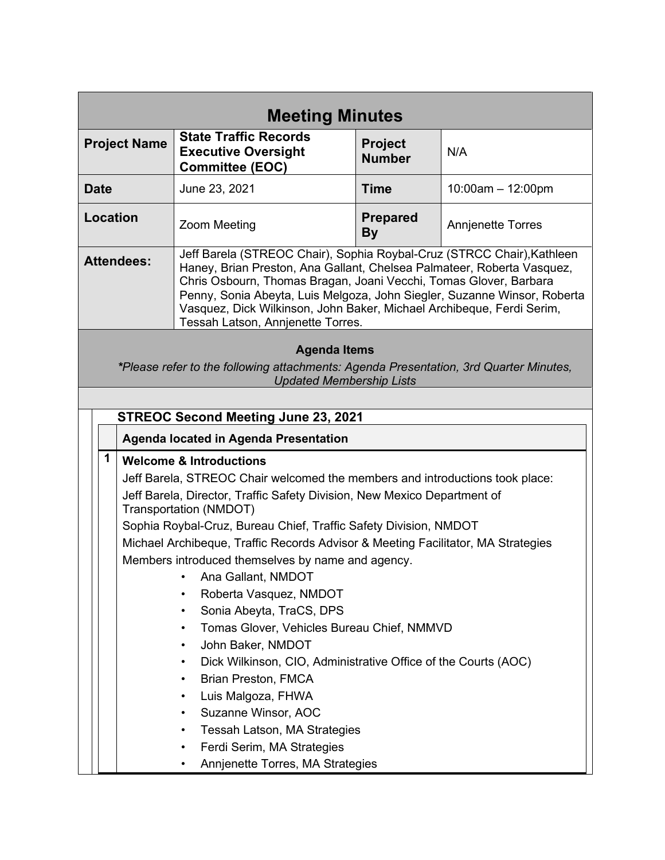| <b>Meeting Minutes</b>                                                                                                                                                                                                                                                                                                                                                                                                                                                                                                                                                                                                                                                                                                                                                                                                              |                                                                                                                                                                                                                                                                                                                                                                                                                 |                                 |                                                                                |  |  |  |
|-------------------------------------------------------------------------------------------------------------------------------------------------------------------------------------------------------------------------------------------------------------------------------------------------------------------------------------------------------------------------------------------------------------------------------------------------------------------------------------------------------------------------------------------------------------------------------------------------------------------------------------------------------------------------------------------------------------------------------------------------------------------------------------------------------------------------------------|-----------------------------------------------------------------------------------------------------------------------------------------------------------------------------------------------------------------------------------------------------------------------------------------------------------------------------------------------------------------------------------------------------------------|---------------------------------|--------------------------------------------------------------------------------|--|--|--|
|                                                                                                                                                                                                                                                                                                                                                                                                                                                                                                                                                                                                                                                                                                                                                                                                                                     | <b>State Traffic Records</b><br><b>Executive Oversight</b><br><b>Committee (EOC)</b>                                                                                                                                                                                                                                                                                                                            | <b>Project</b><br><b>Number</b> | N/A                                                                            |  |  |  |
|                                                                                                                                                                                                                                                                                                                                                                                                                                                                                                                                                                                                                                                                                                                                                                                                                                     | June 23, 2021                                                                                                                                                                                                                                                                                                                                                                                                   | <b>Time</b>                     | $10:00am - 12:00pm$                                                            |  |  |  |
|                                                                                                                                                                                                                                                                                                                                                                                                                                                                                                                                                                                                                                                                                                                                                                                                                                     | <b>Zoom Meeting</b>                                                                                                                                                                                                                                                                                                                                                                                             | <b>Prepared</b><br><b>By</b>    | <b>Annjenette Torres</b>                                                       |  |  |  |
|                                                                                                                                                                                                                                                                                                                                                                                                                                                                                                                                                                                                                                                                                                                                                                                                                                     | Jeff Barela (STREOC Chair), Sophia Roybal-Cruz (STRCC Chair), Kathleen<br>Haney, Brian Preston, Ana Gallant, Chelsea Palmateer, Roberta Vasquez,<br>Chris Osbourn, Thomas Bragan, Joani Vecchi, Tomas Glover, Barbara<br>Penny, Sonia Abeyta, Luis Melgoza, John Siegler, Suzanne Winsor, Roberta<br>Vasquez, Dick Wilkinson, John Baker, Michael Archibeque, Ferdi Serim,<br>Tessah Latson, Annjenette Torres. |                                 |                                                                                |  |  |  |
| <b>Agenda Items</b><br>*Please refer to the following attachments: Agenda Presentation, 3rd Quarter Minutes,<br><b>Updated Membership Lists</b>                                                                                                                                                                                                                                                                                                                                                                                                                                                                                                                                                                                                                                                                                     |                                                                                                                                                                                                                                                                                                                                                                                                                 |                                 |                                                                                |  |  |  |
|                                                                                                                                                                                                                                                                                                                                                                                                                                                                                                                                                                                                                                                                                                                                                                                                                                     |                                                                                                                                                                                                                                                                                                                                                                                                                 |                                 |                                                                                |  |  |  |
| Agenda located in Agenda Presentation                                                                                                                                                                                                                                                                                                                                                                                                                                                                                                                                                                                                                                                                                                                                                                                               |                                                                                                                                                                                                                                                                                                                                                                                                                 |                                 |                                                                                |  |  |  |
| 1<br><b>Welcome &amp; Introductions</b><br>Jeff Barela, STREOC Chair welcomed the members and introductions took place:<br>Jeff Barela, Director, Traffic Safety Division, New Mexico Department of<br>Transportation (NMDOT)<br>Sophia Roybal-Cruz, Bureau Chief, Traffic Safety Division, NMDOT<br>Michael Archibeque, Traffic Records Advisor & Meeting Facilitator, MA Strategies<br>Members introduced themselves by name and agency.<br>Ana Gallant, NMDOT<br>Roberta Vasquez, NMDOT<br>Sonia Abeyta, TraCS, DPS<br>٠<br>Tomas Glover, Vehicles Bureau Chief, NMMVD<br>$\bullet$<br>John Baker, NMDOT<br>٠<br>Dick Wilkinson, CIO, Administrative Office of the Courts (AOC)<br>٠<br><b>Brian Preston, FMCA</b><br>٠<br>Luis Malgoza, FHWA<br>$\bullet$<br>Suzanne Winsor, AOC<br>٠<br>Tessah Latson, MA Strategies<br>٠<br>٠ |                                                                                                                                                                                                                                                                                                                                                                                                                 |                                 |                                                                                |  |  |  |
|                                                                                                                                                                                                                                                                                                                                                                                                                                                                                                                                                                                                                                                                                                                                                                                                                                     | <b>Project Name</b><br>Location<br><b>Attendees:</b>                                                                                                                                                                                                                                                                                                                                                            | Ferdi Serim, MA Strategies      | <b>STREOC Second Meeting June 23, 2021</b><br>Annjenette Torres, MA Strategies |  |  |  |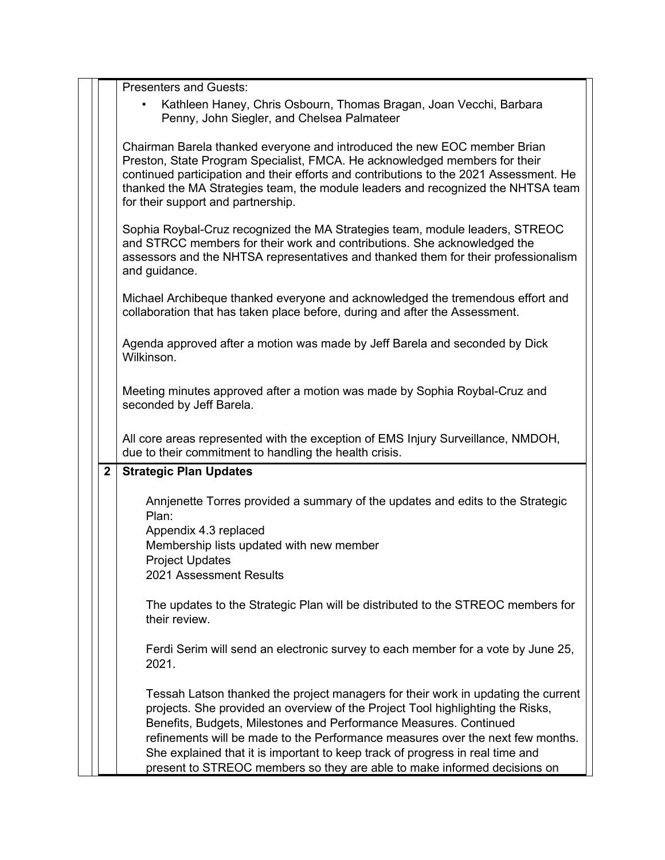|              | <b>Presenters and Guests:</b>                                                                                                                                                                                                                                                                                                                                                                                                                                                           |
|--------------|-----------------------------------------------------------------------------------------------------------------------------------------------------------------------------------------------------------------------------------------------------------------------------------------------------------------------------------------------------------------------------------------------------------------------------------------------------------------------------------------|
|              | Kathleen Haney, Chris Osbourn, Thomas Bragan, Joan Vecchi, Barbara<br>Penny, John Siegler, and Chelsea Palmateer                                                                                                                                                                                                                                                                                                                                                                        |
|              | Chairman Barela thanked everyone and introduced the new EOC member Brian<br>Preston, State Program Specialist, FMCA. He acknowledged members for their<br>continued participation and their efforts and contributions to the 2021 Assessment. He<br>thanked the MA Strategies team, the module leaders and recognized the NHTSA team<br>for their support and partnership.                                                                                                              |
|              | Sophia Roybal-Cruz recognized the MA Strategies team, module leaders, STREOC<br>and STRCC members for their work and contributions. She acknowledged the<br>assessors and the NHTSA representatives and thanked them for their professionalism<br>and guidance.                                                                                                                                                                                                                         |
|              | Michael Archibeque thanked everyone and acknowledged the tremendous effort and<br>collaboration that has taken place before, during and after the Assessment.                                                                                                                                                                                                                                                                                                                           |
|              | Agenda approved after a motion was made by Jeff Barela and seconded by Dick<br>Wilkinson.                                                                                                                                                                                                                                                                                                                                                                                               |
|              | Meeting minutes approved after a motion was made by Sophia Roybal-Cruz and<br>seconded by Jeff Barela.                                                                                                                                                                                                                                                                                                                                                                                  |
|              | All core areas represented with the exception of EMS Injury Surveillance, NMDOH,<br>due to their commitment to handling the health crisis.                                                                                                                                                                                                                                                                                                                                              |
| $\mathbf{2}$ | <b>Strategic Plan Updates</b>                                                                                                                                                                                                                                                                                                                                                                                                                                                           |
|              | Annienette Torres provided a summary of the updates and edits to the Strategic<br>Plan:<br>Appendix 4.3 replaced<br>Membership lists updated with new member<br><b>Project Updates</b>                                                                                                                                                                                                                                                                                                  |
|              | 2021 Assessment Results                                                                                                                                                                                                                                                                                                                                                                                                                                                                 |
|              | The updates to the Strategic Plan will be distributed to the STREOC members for<br>their review.                                                                                                                                                                                                                                                                                                                                                                                        |
|              | Ferdi Serim will send an electronic survey to each member for a vote by June 25,<br>2021.                                                                                                                                                                                                                                                                                                                                                                                               |
|              | Tessah Latson thanked the project managers for their work in updating the current<br>projects. She provided an overview of the Project Tool highlighting the Risks,<br>Benefits, Budgets, Milestones and Performance Measures. Continued<br>refinements will be made to the Performance measures over the next few months.<br>She explained that it is important to keep track of progress in real time and<br>present to STREOC members so they are able to make informed decisions on |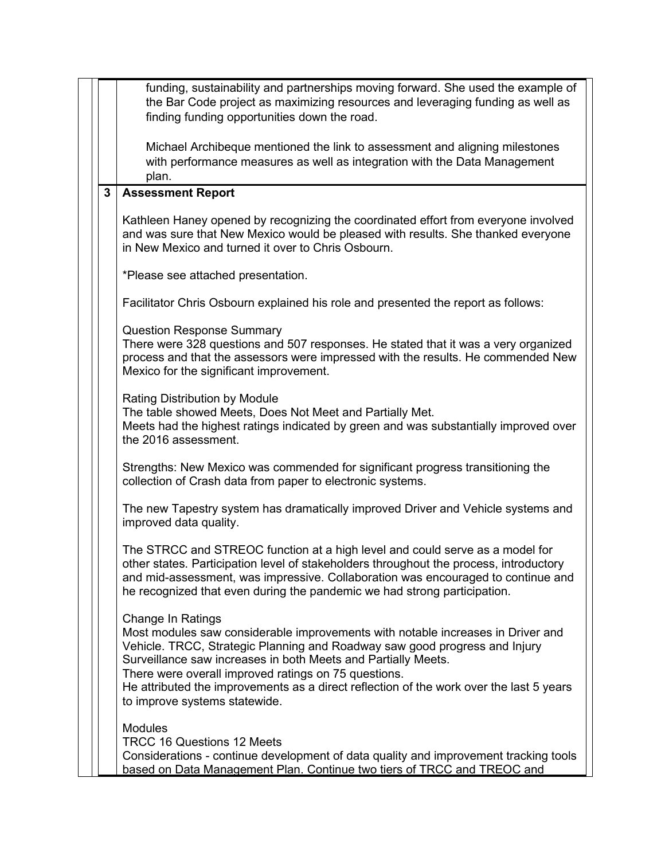|              | funding, sustainability and partnerships moving forward. She used the example of<br>the Bar Code project as maximizing resources and leveraging funding as well as<br>finding funding opportunities down the road.                                                                                                                                                                                                                             |
|--------------|------------------------------------------------------------------------------------------------------------------------------------------------------------------------------------------------------------------------------------------------------------------------------------------------------------------------------------------------------------------------------------------------------------------------------------------------|
|              | Michael Archibeque mentioned the link to assessment and aligning milestones<br>with performance measures as well as integration with the Data Management<br>plan.                                                                                                                                                                                                                                                                              |
| $\mathbf{3}$ | <b>Assessment Report</b>                                                                                                                                                                                                                                                                                                                                                                                                                       |
|              | Kathleen Haney opened by recognizing the coordinated effort from everyone involved<br>and was sure that New Mexico would be pleased with results. She thanked everyone<br>in New Mexico and turned it over to Chris Osbourn.                                                                                                                                                                                                                   |
|              | *Please see attached presentation.                                                                                                                                                                                                                                                                                                                                                                                                             |
|              | Facilitator Chris Osbourn explained his role and presented the report as follows:                                                                                                                                                                                                                                                                                                                                                              |
|              | <b>Question Response Summary</b><br>There were 328 questions and 507 responses. He stated that it was a very organized<br>process and that the assessors were impressed with the results. He commended New<br>Mexico for the significant improvement.                                                                                                                                                                                          |
|              | <b>Rating Distribution by Module</b><br>The table showed Meets, Does Not Meet and Partially Met.<br>Meets had the highest ratings indicated by green and was substantially improved over<br>the 2016 assessment.                                                                                                                                                                                                                               |
|              | Strengths: New Mexico was commended for significant progress transitioning the<br>collection of Crash data from paper to electronic systems.                                                                                                                                                                                                                                                                                                   |
|              | The new Tapestry system has dramatically improved Driver and Vehicle systems and<br>improved data quality.                                                                                                                                                                                                                                                                                                                                     |
|              | The STRCC and STREOC function at a high level and could serve as a model for<br>other states. Participation level of stakeholders throughout the process, introductory<br>and mid-assessment, was impressive. Collaboration was encouraged to continue and<br>he recognized that even during the pandemic we had strong participation.                                                                                                         |
|              | <b>Change In Ratings</b><br>Most modules saw considerable improvements with notable increases in Driver and<br>Vehicle. TRCC, Strategic Planning and Roadway saw good progress and Injury<br>Surveillance saw increases in both Meets and Partially Meets.<br>There were overall improved ratings on 75 questions.<br>He attributed the improvements as a direct reflection of the work over the last 5 years<br>to improve systems statewide. |
|              | <b>Modules</b><br><b>TRCC 16 Questions 12 Meets</b><br>Considerations - continue development of data quality and improvement tracking tools<br>based on Data Management Plan. Continue two tiers of TRCC and TREOC and                                                                                                                                                                                                                         |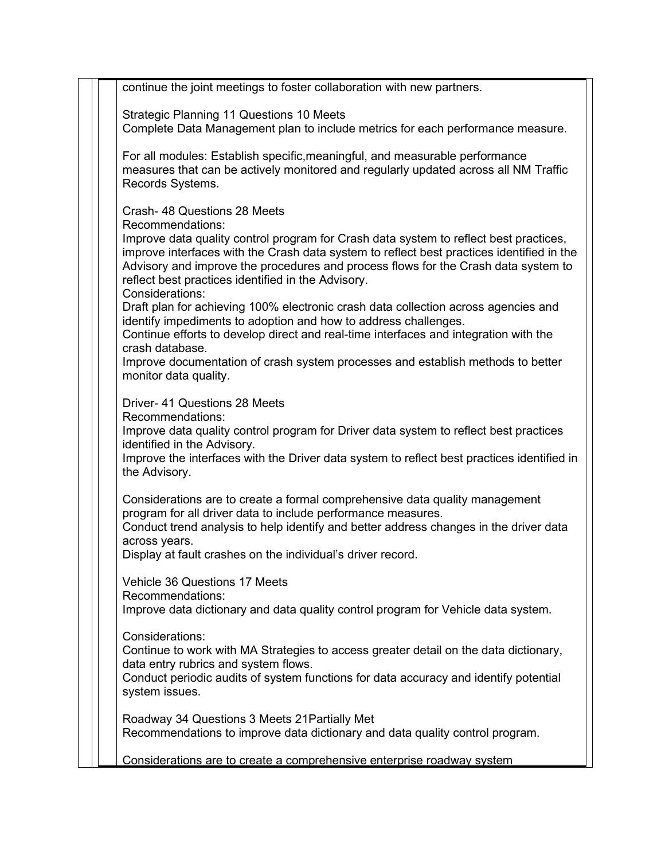continue the joint meetings to foster collaboration with new partners. Strategic Planning 11 Questions 10 Meets Complete Data Management plan to include metrics for each performance measure. For all modules: Establish specific,meaningful, and measurable performance measures that can be actively monitored and regularly updated across all NM Traffic Records Systems. Crash- 48 Questions 28 Meets Recommendations: Improve data quality control program for Crash data system to reflect best practices, improve interfaces with the Crash data system to reflect best practices identified in the Advisory and improve the procedures and process flows for the Crash data system to reflect best practices identified in the Advisory. Considerations: Draft plan for achieving 100% electronic crash data collection across agencies and identify impediments to adoption and how to address challenges. Continue efforts to develop direct and real-time interfaces and integration with the crash database. Improve documentation of crash system processes and establish methods to better monitor data quality. Driver- 41 Questions 28 Meets Recommendations: Improve data quality control program for Driver data system to reflect best practices identified in the Advisory. Improve the interfaces with the Driver data system to reflect best practices identified in the Advisory. Considerations are to create a formal comprehensive data quality management program for all driver data to include performance measures. Conduct trend analysis to help identify and better address changes in the driver data across years. Display at fault crashes on the individual's driver record. Vehicle 36 Questions 17 Meets Recommendations: Improve data dictionary and data quality control program for Vehicle data system. Considerations: Continue to work with MA Strategies to access greater detail on the data dictionary, data entry rubrics and system flows. Conduct periodic audits of system functions for data accuracy and identify potential system issues. Roadway 34 Questions 3 Meets 21Partially Met Recommendations to improve data dictionary and data quality control program. Considerations are to create a comprehensive enterprise roadway system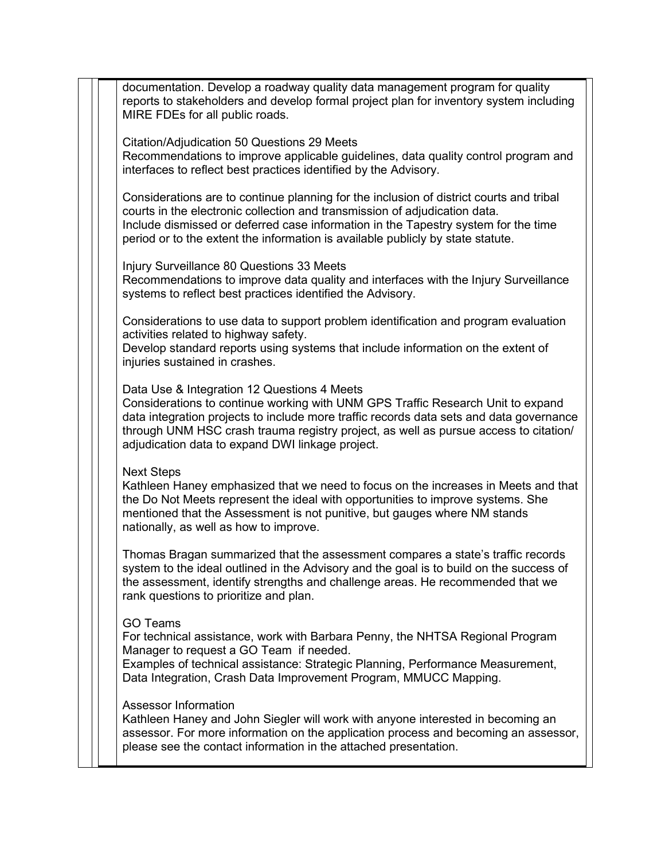documentation. Develop a roadway quality data management program for quality reports to stakeholders and develop formal project plan for inventory system including MIRE FDEs for all public roads.

Citation/Adjudication 50 Questions 29 Meets

Recommendations to improve applicable guidelines, data quality control program and interfaces to reflect best practices identified by the Advisory.

Considerations are to continue planning for the inclusion of district courts and tribal courts in the electronic collection and transmission of adjudication data. Include dismissed or deferred case information in the Tapestry system for the time period or to the extent the information is available publicly by state statute.

Injury Surveillance 80 Questions 33 Meets Recommendations to improve data quality and interfaces with the Injury Surveillance systems to reflect best practices identified the Advisory.

Considerations to use data to support problem identification and program evaluation activities related to highway safety.

Develop standard reports using systems that include information on the extent of injuries sustained in crashes.

Data Use & Integration 12 Questions 4 Meets

Considerations to continue working with UNM GPS Traffic Research Unit to expand data integration projects to include more traffic records data sets and data governance through UNM HSC crash trauma registry project, as well as pursue access to citation/ adjudication data to expand DWI linkage project.

Next Steps

Kathleen Haney emphasized that we need to focus on the increases in Meets and that the Do Not Meets represent the ideal with opportunities to improve systems. She mentioned that the Assessment is not punitive, but gauges where NM stands nationally, as well as how to improve.

Thomas Bragan summarized that the assessment compares a state's traffic records system to the ideal outlined in the Advisory and the goal is to build on the success of the assessment, identify strengths and challenge areas. He recommended that we rank questions to prioritize and plan.

## GO Teams

For technical assistance, work with Barbara Penny, the NHTSA Regional Program Manager to request a GO Team if needed.

Examples of technical assistance: Strategic Planning, Performance Measurement, Data Integration, Crash Data Improvement Program, MMUCC Mapping.

## Assessor Information

Kathleen Haney and John Siegler will work with anyone interested in becoming an assessor. For more information on the application process and becoming an assessor, please see the contact information in the attached presentation.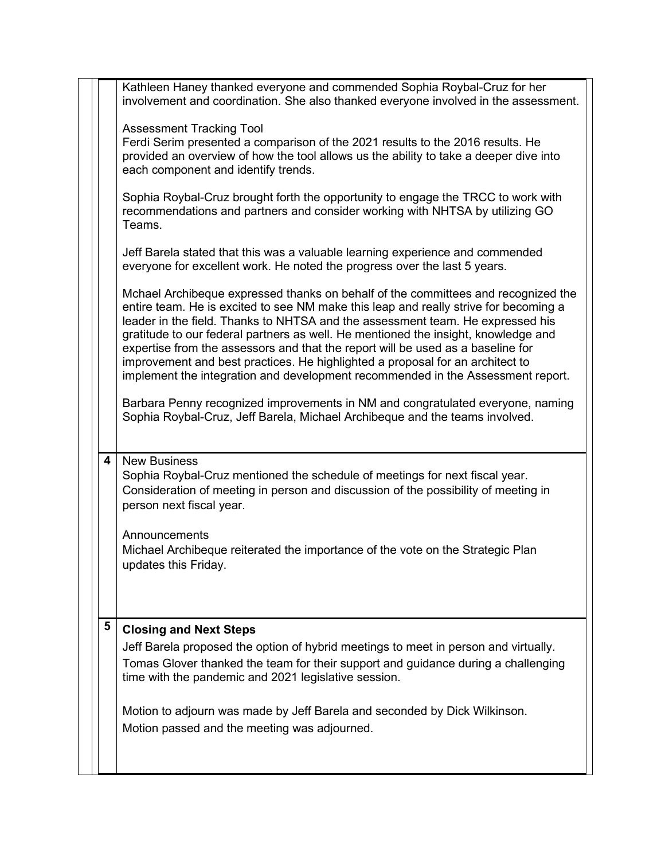|   | Kathleen Haney thanked everyone and commended Sophia Roybal-Cruz for her<br>involvement and coordination. She also thanked everyone involved in the assessment.                                                                                                                                                                                                                                                                                                                                                                                                                                                                                                                                                                                                           |
|---|---------------------------------------------------------------------------------------------------------------------------------------------------------------------------------------------------------------------------------------------------------------------------------------------------------------------------------------------------------------------------------------------------------------------------------------------------------------------------------------------------------------------------------------------------------------------------------------------------------------------------------------------------------------------------------------------------------------------------------------------------------------------------|
|   | <b>Assessment Tracking Tool</b><br>Ferdi Serim presented a comparison of the 2021 results to the 2016 results. He<br>provided an overview of how the tool allows us the ability to take a deeper dive into<br>each component and identify trends.                                                                                                                                                                                                                                                                                                                                                                                                                                                                                                                         |
|   | Sophia Roybal-Cruz brought forth the opportunity to engage the TRCC to work with<br>recommendations and partners and consider working with NHTSA by utilizing GO<br>Teams.                                                                                                                                                                                                                                                                                                                                                                                                                                                                                                                                                                                                |
|   | Jeff Barela stated that this was a valuable learning experience and commended<br>everyone for excellent work. He noted the progress over the last 5 years.                                                                                                                                                                                                                                                                                                                                                                                                                                                                                                                                                                                                                |
|   | Mchael Archibeque expressed thanks on behalf of the committees and recognized the<br>entire team. He is excited to see NM make this leap and really strive for becoming a<br>leader in the field. Thanks to NHTSA and the assessment team. He expressed his<br>gratitude to our federal partners as well. He mentioned the insight, knowledge and<br>expertise from the assessors and that the report will be used as a baseline for<br>improvement and best practices. He highlighted a proposal for an architect to<br>implement the integration and development recommended in the Assessment report.<br>Barbara Penny recognized improvements in NM and congratulated everyone, naming<br>Sophia Roybal-Cruz, Jeff Barela, Michael Archibeque and the teams involved. |
| 4 | <b>New Business</b><br>Sophia Roybal-Cruz mentioned the schedule of meetings for next fiscal year.<br>Consideration of meeting in person and discussion of the possibility of meeting in<br>person next fiscal year.                                                                                                                                                                                                                                                                                                                                                                                                                                                                                                                                                      |
|   | Announcements<br>Michael Archibeque reiterated the importance of the vote on the Strategic Plan<br>updates this Friday.                                                                                                                                                                                                                                                                                                                                                                                                                                                                                                                                                                                                                                                   |
| 5 | <b>Closing and Next Steps</b>                                                                                                                                                                                                                                                                                                                                                                                                                                                                                                                                                                                                                                                                                                                                             |
|   | Jeff Barela proposed the option of hybrid meetings to meet in person and virtually.<br>Tomas Glover thanked the team for their support and guidance during a challenging<br>time with the pandemic and 2021 legislative session.                                                                                                                                                                                                                                                                                                                                                                                                                                                                                                                                          |
|   | Motion to adjourn was made by Jeff Barela and seconded by Dick Wilkinson.<br>Motion passed and the meeting was adjourned.                                                                                                                                                                                                                                                                                                                                                                                                                                                                                                                                                                                                                                                 |